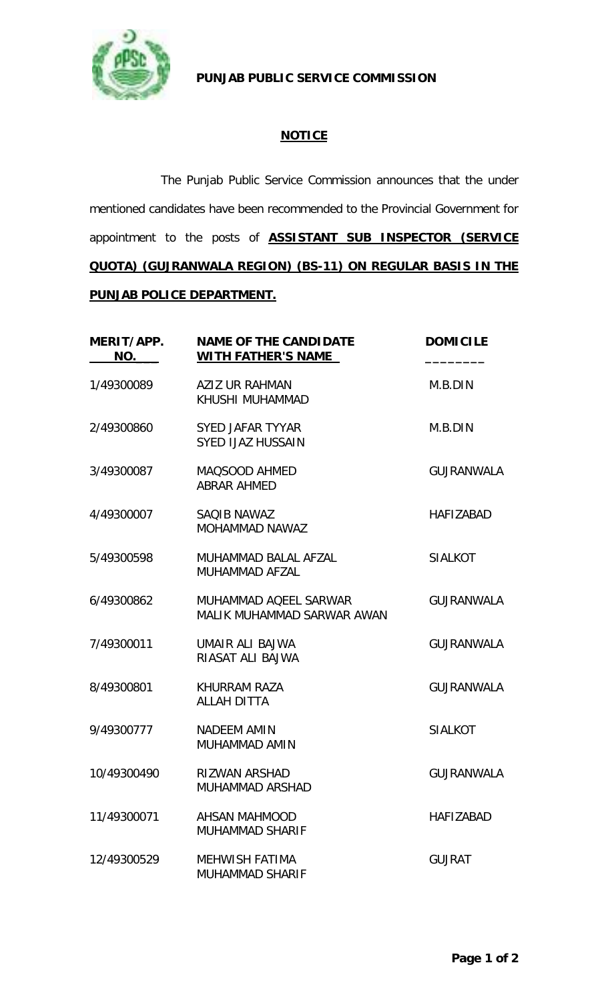

 **PUNJAB PUBLIC SERVICE COMMISSION**

## **NOTICE**

The Punjab Public Service Commission announces that the under mentioned candidates have been recommended to the Provincial Government for appointment to the posts of **ASSISTANT SUB INSPECTOR (SERVICE QUOTA) (GUJRANWALA REGION) (BS-11) ON REGULAR BASIS IN THE PUNJAB POLICE DEPARTMENT.**

| MERIT/APP.<br>NO. | <b>NAME OF THE CANDIDATE</b><br><b>WITH FATHER'S NAME</b> | <b>DOMICILE</b>   |
|-------------------|-----------------------------------------------------------|-------------------|
| 1/49300089        | <b>AZIZ UR RAHMAN</b><br>KHUSHI MUHAMMAD                  | M.B.DIN           |
| 2/49300860        | SYED JAFAR TYYAR<br><b>SYED IJAZ HUSSAIN</b>              | M.B.DIN           |
| 3/49300087        | MAQSOOD AHMED<br><b>ABRAR AHMED</b>                       | <b>GUJRANWALA</b> |
| 4/49300007        | SAQIB NAWAZ<br><b>MOHAMMAD NAWAZ</b>                      | <b>HAFIZABAD</b>  |
| 5/49300598        | MUHAMMAD BALAL AFZAL<br>MUHAMMAD AFZAL                    | <b>SIALKOT</b>    |
| 6/49300862        | MUHAMMAD AQEEL SARWAR<br>MALIK MUHAMMAD SARWAR AWAN       | <b>GUJRANWALA</b> |
| 7/49300011        | UMAIR ALI BAJWA<br>RIASAT ALI BAJWA                       | <b>GUJRANWALA</b> |
| 8/49300801        | KHURRAM RAZA<br><b>ALLAH DITTA</b>                        | <b>GUJRANWALA</b> |
| 9/49300777        | <b>NADEEM AMIN</b><br>MUHAMMAD AMIN                       | <b>SIALKOT</b>    |
| 10/49300490       | <b>RIZWAN ARSHAD</b><br><b>MUHAMMAD ARSHAD</b>            | <b>GUJRANWALA</b> |
| 11/49300071       | <b>AHSAN MAHMOOD</b><br><b>MUHAMMAD SHARIF</b>            | <b>HAFIZABAD</b>  |
| 12/49300529       | <b>MEHWISH FATIMA</b><br><b>MUHAMMAD SHARIF</b>           | <b>GUJRAT</b>     |